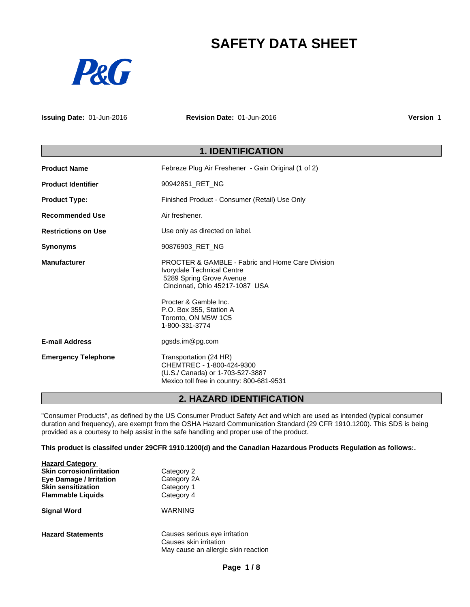# **SAFETY DATA SHEET**



**Issuing Date:** 01-Jun-2016 **Revision Date:** 01-Jun-2016 **Version** 1

# **1. IDENTIFICATION**

| <b>Product Name</b>        | Febreze Plug Air Freshener - Gain Original (1 of 2)                                                                                                                                                                                                   |
|----------------------------|-------------------------------------------------------------------------------------------------------------------------------------------------------------------------------------------------------------------------------------------------------|
| <b>Product Identifier</b>  | 90942851_RET_NG                                                                                                                                                                                                                                       |
| <b>Product Type:</b>       | Finished Product - Consumer (Retail) Use Only                                                                                                                                                                                                         |
| <b>Recommended Use</b>     | Air freshener.                                                                                                                                                                                                                                        |
| <b>Restrictions on Use</b> | Use only as directed on label.                                                                                                                                                                                                                        |
| <b>Synonyms</b>            | 90876903_RET_NG                                                                                                                                                                                                                                       |
| <b>Manufacturer</b>        | <b>PROCTER &amp; GAMBLE - Fabric and Home Care Division</b><br>Ivorydale Technical Centre<br>5289 Spring Grove Avenue<br>Cincinnati, Ohio 45217-1087 USA<br>Procter & Gamble Inc.<br>P.O. Box 355, Station A<br>Toronto, ON M5W 1C5<br>1-800-331-3774 |
| <b>E-mail Address</b>      | pgsds.im@pg.com                                                                                                                                                                                                                                       |
| <b>Emergency Telephone</b> | Transportation (24 HR)<br>CHEMTREC - 1-800-424-9300<br>(U.S./ Canada) or 1-703-527-3887<br>Mexico toll free in country: 800-681-9531                                                                                                                  |

# **2. HAZARD IDENTIFICATION**

"Consumer Products", as defined by the US Consumer Product Safety Act and which are used as intended (typical consumer duration and frequency), are exempt from the OSHA Hazard Communication Standard (29 CFR 1910.1200). This SDS is being provided as a courtesy to help assist in the safe handling and proper use of the product.

**This product is classifed under 29CFR 1910.1200(d) and the Canadian Hazardous Products Regulation as follows:.**

| <b>Hazard Category</b>           |                                                         |  |
|----------------------------------|---------------------------------------------------------|--|
| <b>Skin corrosion/irritation</b> | Category 2                                              |  |
| <b>Eye Damage / Irritation</b>   | Category 2A                                             |  |
| <b>Skin sensitization</b>        | Category 1                                              |  |
| <b>Flammable Liquids</b>         | Category 4                                              |  |
| <b>Signal Word</b>               | <b>WARNING</b>                                          |  |
| <b>Hazard Statements</b>         | Causes serious eye irritation<br>Causes skin irritation |  |
|                                  | May cause an allergic skin reaction                     |  |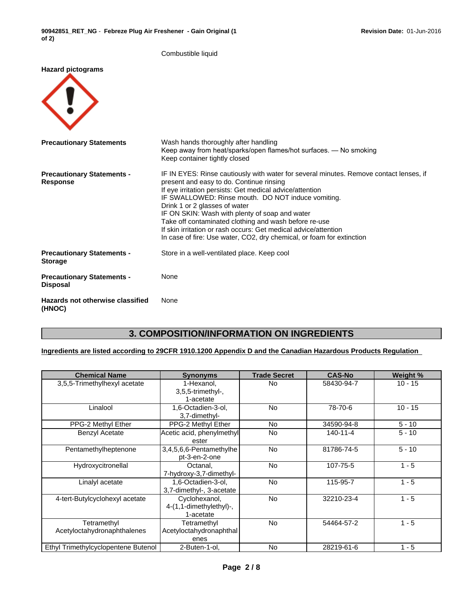|                                                      | Combustible liquid                                                                                                                                                                                                                                                                                                                                                                                                                                                                                                                           |
|------------------------------------------------------|----------------------------------------------------------------------------------------------------------------------------------------------------------------------------------------------------------------------------------------------------------------------------------------------------------------------------------------------------------------------------------------------------------------------------------------------------------------------------------------------------------------------------------------------|
| <b>Hazard pictograms</b>                             |                                                                                                                                                                                                                                                                                                                                                                                                                                                                                                                                              |
| <b>Precautionary Statements</b>                      | Wash hands thoroughly after handling<br>Keep away from heat/sparks/open flames/hot surfaces. - No smoking<br>Keep container tightly closed                                                                                                                                                                                                                                                                                                                                                                                                   |
| <b>Precautionary Statements -</b><br>Response        | IF IN EYES: Rinse cautiously with water for several minutes. Remove contact lenses, if<br>present and easy to do. Continue rinsing<br>If eye irritation persists: Get medical advice/attention<br>IF SWALLOWED: Rinse mouth. DO NOT induce vomiting.<br>Drink 1 or 2 glasses of water<br>IF ON SKIN: Wash with plenty of soap and water<br>Take off contaminated clothing and wash before re-use<br>If skin irritation or rash occurs: Get medical advice/attention<br>In case of fire: Use water, CO2, dry chemical, or foam for extinction |
| <b>Precautionary Statements -</b><br><b>Storage</b>  | Store in a well-ventilated place. Keep cool                                                                                                                                                                                                                                                                                                                                                                                                                                                                                                  |
| <b>Precautionary Statements -</b><br><b>Disposal</b> | None                                                                                                                                                                                                                                                                                                                                                                                                                                                                                                                                         |
| Hazards not otherwise classified<br>(HNOC)           | None                                                                                                                                                                                                                                                                                                                                                                                                                                                                                                                                         |

# **3. COMPOSITION/INFORMATION ON INGREDIENTS**

### **Ingredients are listed according to 29CFR 1910.1200 Appendix D and the Canadian Hazardous Products Regulation**

| <b>Chemical Name</b>                       | <b>Synonyms</b>                                       | <b>Trade Secret</b> | <b>CAS-No</b>  | Weight %  |
|--------------------------------------------|-------------------------------------------------------|---------------------|----------------|-----------|
| 3,5,5-Trimethylhexyl acetate               | 1-Hexanol,<br>3,5,5-trimethyl-,<br>1-acetate          | No.                 | 58430-94-7     | $10 - 15$ |
| Linalool                                   | 1,6-Octadien-3-ol,<br>3.7-dimethyl-                   | <b>No</b>           | 78-70-6        | $10 - 15$ |
| PPG-2 Methyl Ether                         | PPG-2 Methyl Ether                                    | <b>No</b>           | 34590-94-8     | $5 - 10$  |
| <b>Benzyl Acetate</b>                      | Acetic acid, phenylmethyl<br>ester                    | <b>No</b>           | $140 - 11 - 4$ | $5 - 10$  |
| Pentamethylheptenone                       | 3,4,5,6,6-Pentamethylhe<br>pt-3-en-2-one              | <b>No</b>           | 81786-74-5     | $5 - 10$  |
| Hydroxycitronellal                         | Octanal,<br>7-hydroxy-3,7-dimethyl-                   | <b>No</b>           | 107-75-5       | $1 - 5$   |
| Linalyl acetate                            | 1,6-Octadien-3-ol,<br>3,7-dimethyl-, 3-acetate        | <b>No</b>           | 115-95-7       | $1 - 5$   |
| 4-tert-Butylcyclohexyl acetate             | Cyclohexanol,<br>4-(1,1-dimethylethyl)-,<br>1-acetate | <b>No</b>           | 32210-23-4     | $1 - 5$   |
| Tetramethyl<br>Acetyloctahydronaphthalenes | Tetramethyl<br>Acetyloctahydronaphthal<br>enes        | <b>No</b>           | 54464-57-2     | $1 - 5$   |
| Ethyl Trimethylcyclopentene Butenol        | 2-Buten-1-ol,                                         | <b>No</b>           | 28219-61-6     | $1 - 5$   |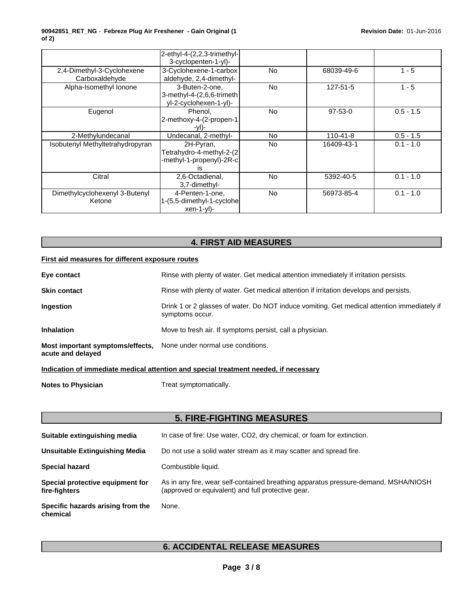|                                              | 2-ethyl-4-(2,2,3-trimethyl-<br>3-cyclopenten-1-yl)-                      |           |                |             |
|----------------------------------------------|--------------------------------------------------------------------------|-----------|----------------|-------------|
| 2,4-Dimethyl-3-Cyclohexene<br>Carboxaldehyde | 3-Cyclohexene-1-carbox<br>aldehyde, 2,4-dimethyl-                        | <b>No</b> | 68039-49-6     | $1 - 5$     |
| Alpha-Isomethyl Ionone                       | 3-Buten-2-one,<br>3-methyl-4-(2,6,6-trimeth<br>yl-2-cyclohexen-1-yl)-    | <b>No</b> | 127-51-5       | $1 - 5$     |
| Eugenol                                      | Phenol.<br>2-methoxy-4-(2-propen-1<br>-vI)-                              | <b>No</b> | 97-53-0        | $0.5 - 1.5$ |
| 2-Methylundecanal                            | Undecanal, 2-methyl-                                                     | <b>No</b> | $110 - 41 - 8$ | $0.5 - 1.5$ |
| Isobutenyl Methyltetrahydropyran             | 2H-Pyran,<br>Tetrahydro-4-methyl-2-(2)<br>-methyl-1-propenyl)-2R-c<br>IS | <b>No</b> | 16409-43-1     | $0.1 - 1.0$ |
| Citral                                       | 2,6-Octadienal,<br>3,7-dimethyl-                                         | <b>No</b> | 5392-40-5      | $0.1 - 1.0$ |
| Dimethylcyclohexenyl 3-Butenyl<br>Ketone     | 4-Penten-1-one,<br>1-(5,5-dimethyl-1-cyclohe<br>$xen-1-yl$               | <b>No</b> | 56973-85-4     | $0.1 - 1.0$ |

# **4. FIRST AID MEASURES**

#### **First aid measures for different exposure routes**

| Eye contact                                           | Rinse with plenty of water. Get medical attention immediately if irritation persists.                          |
|-------------------------------------------------------|----------------------------------------------------------------------------------------------------------------|
| <b>Skin contact</b>                                   | Rinse with plenty of water. Get medical attention if irritation develops and persists.                         |
| <b>Ingestion</b>                                      | Drink 1 or 2 glasses of water. Do NOT induce vomiting. Get medical attention immediately if<br>symptoms occur. |
| <b>Inhalation</b>                                     | Move to fresh air. If symptoms persist, call a physician.                                                      |
| Most important symptoms/effects,<br>acute and delayed | None under normal use conditions.                                                                              |

### **Indication of immediate medical attention and special treatment needed, if necessary**

**Notes to Physician** Treat symptomatically.

|                                                   | <b>5. FIRE-FIGHTING MEASURES</b>                                                                                                          |
|---------------------------------------------------|-------------------------------------------------------------------------------------------------------------------------------------------|
| Suitable extinguishing media                      | In case of fire: Use water, CO2, dry chemical, or foam for extinction.                                                                    |
| Unsuitable Extinguishing Media                    | Do not use a solid water stream as it may scatter and spread fire.                                                                        |
| <b>Special hazard</b>                             | Combustible liquid.                                                                                                                       |
| Special protective equipment for<br>fire-fighters | As in any fire, wear self-contained breathing apparatus pressure-demand, MSHA/NIOSH<br>(approved or equivalent) and full protective gear. |
| Specific hazards arising from the<br>chemical     | None.                                                                                                                                     |

# **6. ACCIDENTAL RELEASE MEASURES**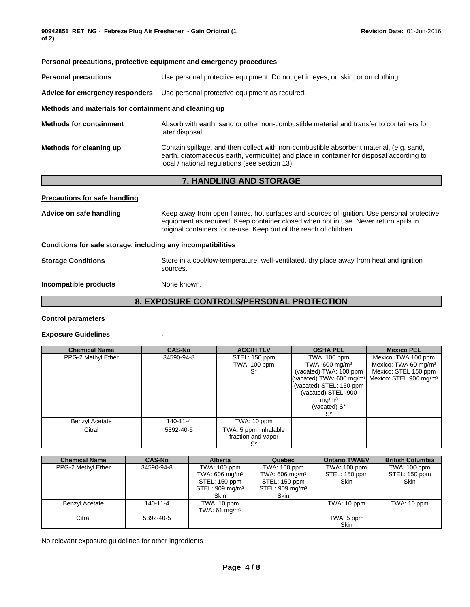#### **Personal precautions, protective equipment and emergency procedures**

**Personal precautions** Use personal protective equipment. Do not get in eyes, on skin, or on clothing.

**Advice for emergency responders** Use personal protective equipment as required.

#### **Methods and materials for containment and cleaning up**

**Methods for containment** Absorb with earth, sand or other non-combustible material and transfer to containers for later disposal.

#### **Methods for cleaning up** Contain spillage, and then collect with non-combustible absorbent material, (e.g. sand, earth, diatomaceous earth, vermiculite) and place in container for disposal according to local / national regulations (see section 13).

### **7. HANDLING AND STORAGE**

#### **Precautions for safe handling**

**Advice on safe handling** Keep away from open flames, hot surfaces and sources of ignition. Use personal protective equipment as required. Keep container closed when not in use. Never return spills in original containers for re-use. Keep out of the reach of children.

#### **Conditions for safe storage, including any incompatibilities**

**Storage Conditions** Store in a cool/low-temperature, well-ventilated, dry place away from heat and ignition sources.

#### **Incompatible products** None known.

### **8. EXPOSURE CONTROLS/PERSONAL PROTECTION**

#### **Control parameters**

#### **Exposure Guidelines** .

| <b>Chemical Name</b> | <b>CAS-No</b> | <b>ACGIH TLV</b>     | <b>OSHA PEL</b>                                                           | <b>Mexico PEL</b>                |
|----------------------|---------------|----------------------|---------------------------------------------------------------------------|----------------------------------|
| PPG-2 Methyl Ether   | 34590-94-8    | STEL: 150 ppm        | TWA: 100 ppm                                                              | Mexico: TWA 100 ppm              |
|                      |               | TWA: 100 ppm         | TWA: 600 mg/m $3$                                                         | Mexico: TWA 60 mg/m <sup>3</sup> |
|                      |               | S*                   | (vacated) TWA: 100 ppm                                                    | Mexico: STEL 150 ppm             |
|                      |               |                      | (vacated) TWA: 600 mg/m <sup>3</sup>   Mexico: STEL 900 mg/m <sup>3</sup> |                                  |
|                      |               |                      | (vacated) STEL: $150$ ppm                                                 |                                  |
|                      |               |                      | (vacated) STEL: 900                                                       |                                  |
|                      |               |                      | mq/m <sup>3</sup>                                                         |                                  |
|                      |               |                      | (vacated) S*                                                              |                                  |
|                      |               |                      | S*                                                                        |                                  |
| Benzyl Acetate       | 140-11-4      | TWA: 10 ppm          |                                                                           |                                  |
| Citral               | 5392-40-5     | TWA: 5 ppm inhalable |                                                                           |                                  |
|                      |               | fraction and vapor   |                                                                           |                                  |
|                      |               | $S^*$                |                                                                           |                                  |

| <b>Chemical Name</b>  | <b>CAS-No</b> | <b>Alberta</b>                                                                                     | Quebec                                                                                    | <b>Ontario TWAEV</b>                         | <b>British Columbia</b>                      |
|-----------------------|---------------|----------------------------------------------------------------------------------------------------|-------------------------------------------------------------------------------------------|----------------------------------------------|----------------------------------------------|
| PPG-2 Methyl Ether    | 34590-94-8    | TWA: 100 ppm<br>TWA: 606 mg/m <sup>3</sup><br>STEL: 150 ppm<br>STEL: 909 mg/m <sup>3</sup><br>Skin | TWA: 100 ppm<br>TWA: 606 mg/m $3$<br>STEL: 150 ppm<br>STEL: 909 mg/m <sup>3</sup><br>Skin | TWA: 100 ppm<br>STEL: 150 ppm<br><b>Skin</b> | TWA: 100 ppm<br>STEL: 150 ppm<br><b>Skin</b> |
| <b>Benzyl Acetate</b> | 140-11-4      | TWA: 10 ppm<br>TWA: $61 \text{ mg/m}^3$                                                            |                                                                                           | TWA: 10 ppm                                  | TWA: 10 ppm                                  |
| Citral                | 5392-40-5     |                                                                                                    |                                                                                           | TWA: 5 ppm<br><b>Skin</b>                    |                                              |

No relevant exposure guidelines for other ingredients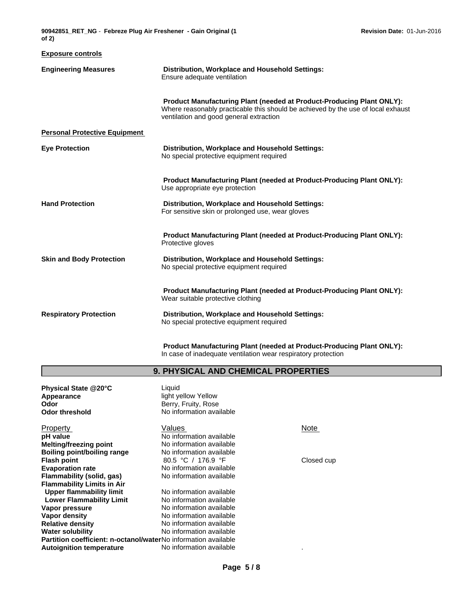| 90942851 RET NG - Febreze Plug Air Freshener - Gain Original (1)<br>of $2)$ |                                                                                |
|-----------------------------------------------------------------------------|--------------------------------------------------------------------------------|
| <b>Exposure controls</b>                                                    |                                                                                |
| <b>Engineering Measures</b>                                                 | Distribution, Workplace and Household Settings:<br>Ensure adequate ventilation |

**Product Manufacturing Plant (needed at Product-Producing Plant ONLY):** Where reasonably practicable this should be achieved by the use of local exhaust ventilation and good general extraction

**Personal Protective Equipment**

| <b>Eye Protection</b> | Distribution, Workplace and Household Settings: |  |
|-----------------------|-------------------------------------------------|--|
|                       | No special protective equipment required        |  |
|                       |                                                 |  |
|                       |                                                 |  |

**Product Manufacturing Plant (needed at Product-Producing Plant ONLY):** Use appropriate eye protection

**Hand Protection Distribution, Workplace and Household Settings:** For sensitive skin or prolonged use, wear gloves

> **Product Manufacturing Plant (needed at Product-Producing Plant ONLY):** Protective gloves

**Skin and Body Protection Distribution, Workplace and Household Settings:** No special protective equipment required

> **Product Manufacturing Plant (needed at Product-Producing Plant ONLY):** Wear suitable protective clothing

**Respiratory Protection Distribution, Workplace and Household Settings:** No special protective equipment required

> **Product Manufacturing Plant (needed at Product-Producing Plant ONLY):** In case of inadequate ventilation wear respiratory protection

### **9. PHYSICAL AND CHEMICAL PROPERTIES**

| Physical State @20°C                                           | Liquid                   |             |  |
|----------------------------------------------------------------|--------------------------|-------------|--|
| Appearance                                                     | light yellow Yellow      |             |  |
| Odor                                                           | Berry, Fruity, Rose      |             |  |
| Odor threshold                                                 | No information available |             |  |
| Property                                                       | Values                   | <b>Note</b> |  |
| pH value                                                       | No information available |             |  |
| Melting/freezing point                                         | No information available |             |  |
| Boiling point/boiling range                                    | No information available |             |  |
| Flash point                                                    | 80.5 °C / 176.9 °F       | Closed cup  |  |
| <b>Evaporation rate</b>                                        | No information available |             |  |
| Flammability (solid, qas)                                      | No information available |             |  |
| <b>Flammability Limits in Air</b>                              |                          |             |  |
| Upper flammability limit                                       | No information available |             |  |
| <b>Lower Flammability Limit</b>                                | No information available |             |  |
| Vapor pressure                                                 | No information available |             |  |
| Vapor density                                                  | No information available |             |  |
| <b>Relative density</b>                                        | No information available |             |  |
| Water solubility                                               | No information available |             |  |
| Partition coefficient: n-octanol/waterNo information available |                          |             |  |
| <b>Autoignition temperature</b>                                | No information available |             |  |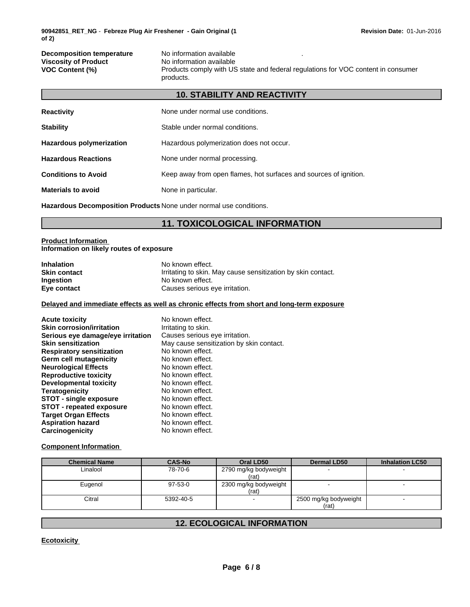| <b>Decomposition temperature</b> | No information available                                                                       |
|----------------------------------|------------------------------------------------------------------------------------------------|
| <b>Viscosity of Product</b>      | No information available                                                                       |
| <b>VOC Content (%)</b>           | Products comply with US state and federal regulations for VOC content in consumer<br>products. |

**10. STABILITY AND REACTIVITY**

|                                 | IV. STADILITT AND REACTIVITT                                      |
|---------------------------------|-------------------------------------------------------------------|
| <b>Reactivity</b>               | None under normal use conditions.                                 |
| <b>Stability</b>                | Stable under normal conditions.                                   |
| <b>Hazardous polymerization</b> | Hazardous polymerization does not occur.                          |
| <b>Hazardous Reactions</b>      | None under normal processing.                                     |
| <b>Conditions to Avoid</b>      | Keep away from open flames, hot surfaces and sources of ignition. |
| <b>Materials to avoid</b>       | None in particular.                                               |

**Hazardous Decomposition Products** None under normal use conditions.

# **11. TOXICOLOGICAL INFORMATION**

#### **Product Information Information on likely routes of exposure**

г

| <b>Inhalation</b> | No known effect.                                             |
|-------------------|--------------------------------------------------------------|
| Skin contact      | Irritating to skin. May cause sensitization by skin contact. |
| Ingestion         | No known effect.                                             |
| Eye contact       | Causes serious eye irritation.                               |

#### **Delayed and immediate effects as well as chronic effects from short and long-term exposure**

| <b>Acute toxicity</b><br><b>Skin corrosion/irritation</b> | No known effect.<br>Irritating to skin.  |
|-----------------------------------------------------------|------------------------------------------|
| Serious eye damage/eye irritation                         | Causes serious eye irritation.           |
| <b>Skin sensitization</b>                                 | May cause sensitization by skin contact. |
| <b>Respiratory sensitization</b>                          | No known effect.                         |
| Germ cell mutagenicity                                    | No known effect.                         |
| <b>Neurological Effects</b>                               | No known effect.                         |
| <b>Reproductive toxicity</b>                              | No known effect.                         |
| <b>Developmental toxicity</b>                             | No known effect.                         |
| <b>Teratogenicity</b>                                     | No known effect.                         |
| <b>STOT - single exposure</b>                             | No known effect.                         |
| <b>STOT - repeated exposure</b>                           | No known effect.                         |
| <b>Target Organ Effects</b>                               | No known effect.                         |
| <b>Aspiration hazard</b>                                  | No known effect.                         |
| Carcinogenicity                                           | No known effect.                         |

#### **Component Information**

| <b>Chemical Name</b> | <b>CAS-No</b> | Oral LD50                      | <b>Dermal LD50</b>             | <b>Inhalation LC50</b> |
|----------------------|---------------|--------------------------------|--------------------------------|------------------------|
| Linalool             | 78-70-6       | 2790 mg/kg bodyweight<br>(rat) |                                |                        |
| Eugenol              | 97-53-0       | 2300 mg/kg bodyweight<br>(rat) |                                |                        |
| Citral               | 5392-40-5     |                                | 2500 mg/kg bodyweight<br>(rat) |                        |

# **12. ECOLOGICAL INFORMATION**

**Ecotoxicity**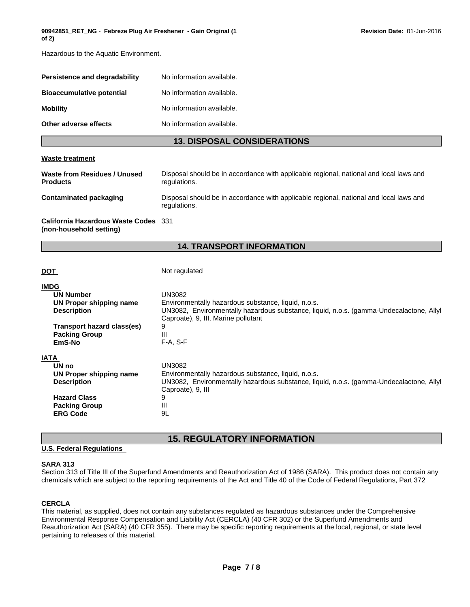Hazardous to the Aquatic Environment.

| Persistence and degradability    | No information available. |
|----------------------------------|---------------------------|
| <b>Bioaccumulative potential</b> | No information available. |
| <b>Mobility</b>                  | No information available. |
| Other adverse effects            | No information available. |

### **13. DISPOSAL CONSIDERATIONS**

#### **Waste treatment**

| Waste from Residues / Unused<br><b>Products</b>                 | Disposal should be in accordance with applicable regional, national and local laws and<br>regulations. |
|-----------------------------------------------------------------|--------------------------------------------------------------------------------------------------------|
| Contaminated packaging                                          | Disposal should be in accordance with applicable regional, national and local laws and<br>regulations. |
| California Hazardous Waste Codes 331<br>(non-household setting) |                                                                                                        |

### **14. TRANSPORT INFORMATION**

**DOT** Not regulated

| <b>IMDG</b>                |                                                                                         |
|----------------------------|-----------------------------------------------------------------------------------------|
| <b>UN Number</b>           | UN3082                                                                                  |
| UN Proper shipping name    | Environmentally hazardous substance, liquid, n.o.s.                                     |
| <b>Description</b>         | UN3082, Environmentally hazardous substance, liquid, n.o.s. (gamma-Undecalactone, Allyl |
|                            | Caproate), 9, III, Marine pollutant                                                     |
| Transport hazard class(es) | 9                                                                                       |
| <b>Packing Group</b>       | Ш                                                                                       |
| EmS-No                     | $F-A. S-F$                                                                              |
|                            |                                                                                         |
| <b>IATA</b>                |                                                                                         |
| UN no                      | UN3082                                                                                  |
| UN Proper shipping name    | Environmentally hazardous substance, liquid, n.o.s.                                     |
| <b>Description</b>         | UN3082, Environmentally hazardous substance, liquid, n.o.s. (gamma-Undecalactone, Allyl |
|                            | Caproate), 9, III                                                                       |
| <b>Hazard Class</b>        | 9                                                                                       |
| <b>Packing Group</b>       | Ш                                                                                       |
| <b>ERG Code</b>            | 9L                                                                                      |

# **15. REGULATORY INFORMATION**

#### **U.S. Federal Regulations**

#### **SARA 313**

Section 313 of Title III of the Superfund Amendments and Reauthorization Act of 1986 (SARA). This product does not contain any chemicals which are subject to the reporting requirements of the Act and Title 40 of the Code of Federal Regulations, Part 372

#### **CERCLA**

This material, as supplied, does not contain any substances regulated as hazardous substances under the Comprehensive Environmental Response Compensation and Liability Act (CERCLA) (40 CFR 302) or the Superfund Amendments and Reauthorization Act (SARA) (40 CFR 355). There may be specific reporting requirements at the local, regional, or state level pertaining to releases of this material.